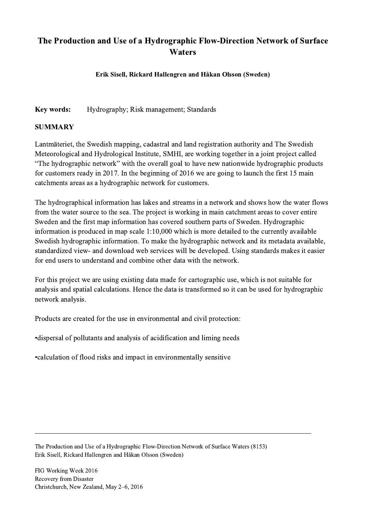## The Production and Use of a Hydrographic Flow-Direction Network of Surface **Waters**

## Erik Sisell, Rickard Hallengren and Håkan Olsson (Sweden)

## Key words: Hydrography; Risk management; Standards

## SUMMARY

Lantmäteriet, the Swedish mapping, cadastral and land registration authority and The Swedish Meteorological and Hydrological Institute, SMHI, are working together in a joint project called "The hydrographic network" with the overall goal to have new nationwide hydrographic products for customers ready in 2017. In the beginning of 2016 we are going to launch the first 15 main catchments areas as a hydrographic network for customers.

The hydrographical information has lakes and streams in a network and shows how the water flows from the water source to the sea. The project is working in main catchment areas to cover entire Sweden and the first map information has covered southern parts of Sweden. Hydrographic information is produced in map scale 1:10,000 which is more detailed to the currently available Swedish hydrographic information. To make the hydrographic network and its metadata available, standardized view- and download web services will be developed. Using standards makes it easier for end users to understand and combine other data with the network.

For this project we are using existing data made for cartographic use, which is not suitable for analysis and spatial calculations. Hence the data is transformed so it can be used for hydrographic network analysis.

Products are created for the use in environmental and civil protection:

•dispersal of pollutants and analysis of acidification and liming needs

•calculation of flood risks and impact in environmentally sensitive

The Production and Use of a Hydrographic Flow-Direction Network of Surface Waters (8153) Erik Sisell, Rickard Hallengren and Håkan Olsson (Sweden)

 $\mathcal{L}_\mathcal{L} = \{ \mathcal{L}_\mathcal{L} = \{ \mathcal{L}_\mathcal{L} = \{ \mathcal{L}_\mathcal{L} = \{ \mathcal{L}_\mathcal{L} = \{ \mathcal{L}_\mathcal{L} = \{ \mathcal{L}_\mathcal{L} = \{ \mathcal{L}_\mathcal{L} = \{ \mathcal{L}_\mathcal{L} = \{ \mathcal{L}_\mathcal{L} = \{ \mathcal{L}_\mathcal{L} = \{ \mathcal{L}_\mathcal{L} = \{ \mathcal{L}_\mathcal{L} = \{ \mathcal{L}_\mathcal{L} = \{ \mathcal{L}_\mathcal{$